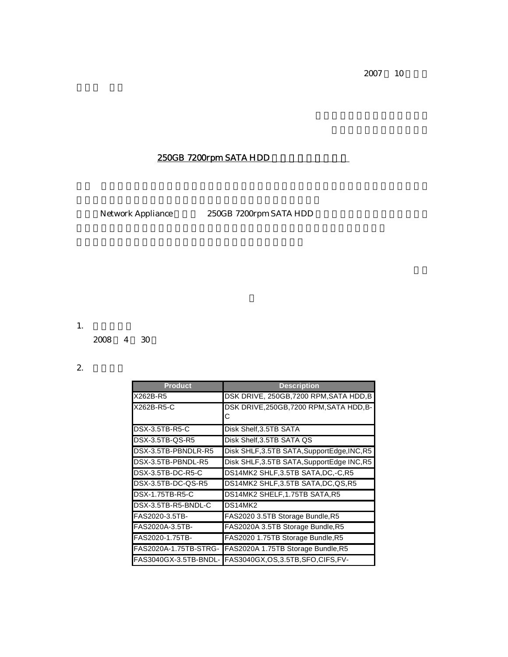2007 10

## 250GB 7200rpm SATA HDD

Network Appliance 250GB 7200rpm SATA HDD

1. 販売終了日

2008 4 30

R5

2. 詳細情報

| <b>Product</b>         | <b>Description</b>                                         |
|------------------------|------------------------------------------------------------|
| X262B-R5               | DSK DRIVE, 250GB, 7200 RPM, SATA HDD, B                    |
| X262B-R5-C             | DSK DRIVE.250GB.7200 RPM.SATA HDD.B-<br>С                  |
| DSX-3.5TB-R5-C         | Disk Shelf, 3.5TB SATA                                     |
| DSX-3.5TB-QS-R5        | Disk Shelf, 3.5TB SATA QS                                  |
| DSX-3.5TB-PBNDLR-R5    | Disk SHLF, 3.5TB SATA, SupportEdge, INC, R5                |
| DSX-3.5TB-PBNDL-R5     | Disk SHLF, 3.5TB SATA, SupportEdge INC, R5                 |
| DSX-3.5TB-DC-R5-C      | DS14MK2 SHLF,3.5TB SATA,DC,-C,R5                           |
| DSX-3.5TB-DC-QS-R5     | DS14MK2 SHLF, 3.5TB SATA, DC, QS, R5                       |
| <b>DSX-1.75TB-R5-C</b> | DS14MK2 SHELF,1.75TB SATA,R5                               |
| DSX-3.5TB-R5-BNDL-C    | DS14MK2                                                    |
| FAS2020-3.5TB-         | FAS2020 3.5TB Storage Bundle, R5                           |
| FAS2020A-3.5TB-        | FAS2020A 3.5TB Storage Bundle, R5                          |
| FAS2020-1.75TB-        | FAS2020 1.75TB Storage Bundle, R5                          |
| FAS2020A-1.75TB-STRG-  | FAS2020A 1.75TB Storage Bundle, R5                         |
|                        | FAS3040GX-3.5TB-BNDL- FAS3040GX, OS, 3.5TB, SFO, CIFS, FV- |

HPO,R5